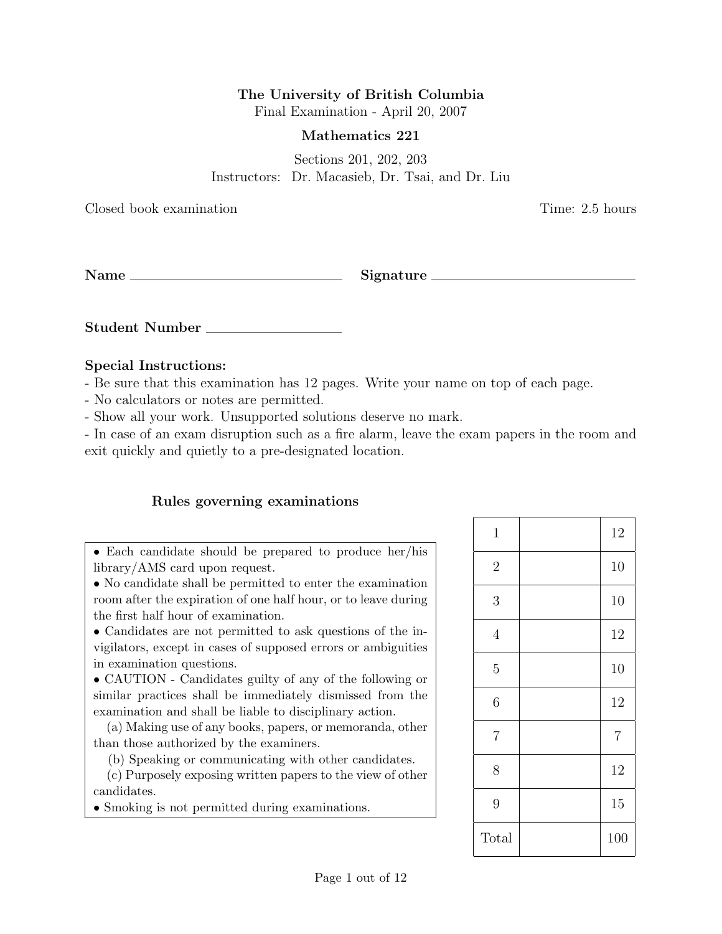## The University of British Columbia

Final Examination - April 20, 2007

## Mathematics 221

Sections 201, 202, 203 Instructors: Dr. Macasieb, Dr. Tsai, and Dr. Liu

Closed book examination Time: 2.5 hours

Name Signature

Student Number

## Special Instructions:

- Be sure that this examination has 12 pages. Write your name on top of each page.

- No calculators or notes are permitted.

- Show all your work. Unsupported solutions deserve no mark.

- In case of an exam disruption such as a fire alarm, leave the exam papers in the room and exit quickly and quietly to a pre-designated location.

## Rules governing examinations

• Each candidate should be prepared to produce her/his library/AMS card upon request.

• No candidate shall be permitted to enter the examination room after the expiration of one half hour, or to leave during the first half hour of examination.

• Candidates are not permitted to ask questions of the invigilators, except in cases of supposed errors or ambiguities in examination questions.

• CAUTION - Candidates guilty of any of the following or similar practices shall be immediately dismissed from the examination and shall be liable to disciplinary action.

(a) Making use of any books, papers, or memoranda, other than those authorized by the examiners.

(b) Speaking or communicating with other candidates.

(c) Purposely exposing written papers to the view of other candidates.

• Smoking is not permitted during examinations.

| $\mathbf{1}$   | 12             |
|----------------|----------------|
| $\overline{2}$ | 10             |
| 3              | 10             |
| $\overline{4}$ | 12             |
| $\overline{5}$ | 10             |
| $\overline{6}$ | 12             |
| $\overline{7}$ | $\overline{7}$ |
| 8              | 12             |
| 9              | 15             |
| Total          | 100            |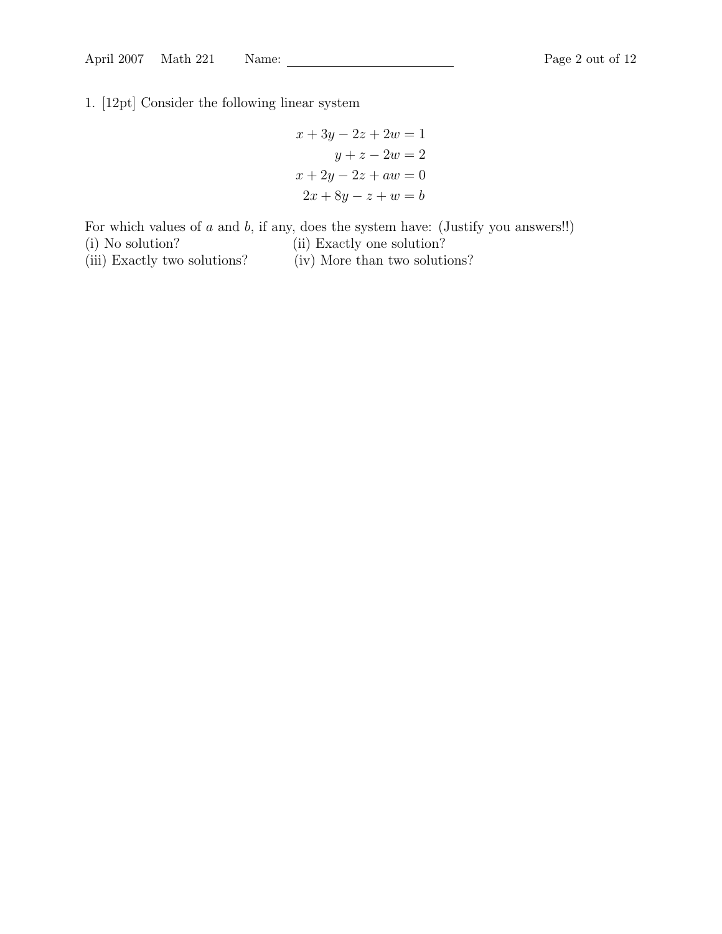1. [12pt] Consider the following linear system

$$
x + 3y - 2z + 2w = 1
$$

$$
y + z - 2w = 2
$$

$$
x + 2y - 2z + aw = 0
$$

$$
2x + 8y - z + w = b
$$

For which values of  $a$  and  $b$ , if any, does the system have: (Justify you answers!!)

- 
- (i) No solution? (ii) Exactly one solution?
- (iii) Exactly two solutions? (iv) More than two solutions?
	-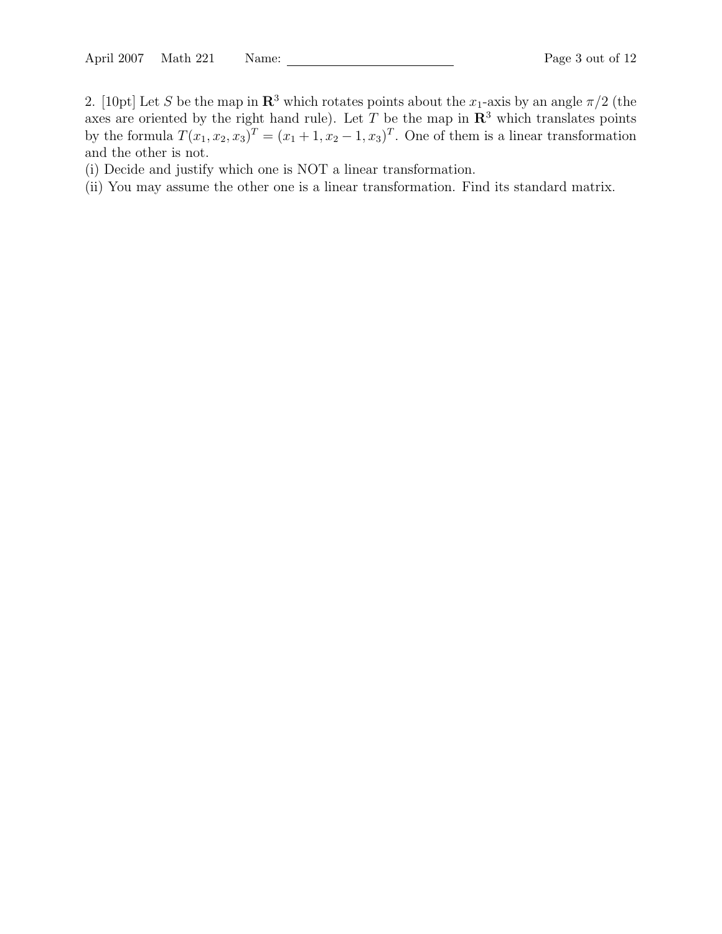2. [10pt] Let S be the map in  $\mathbb{R}^3$  which rotates points about the x<sub>1</sub>-axis by an angle  $\pi/2$  (the axes are oriented by the right hand rule). Let T be the map in  $\mathbb{R}^3$  which translates points by the formula  $T(x_1, x_2, x_3)^T = (x_1 + 1, x_2 - 1, x_3)^T$ . One of them is a linear transformation and the other is not.

(i) Decide and justify which one is NOT a linear transformation.

(ii) You may assume the other one is a linear transformation. Find its standard matrix.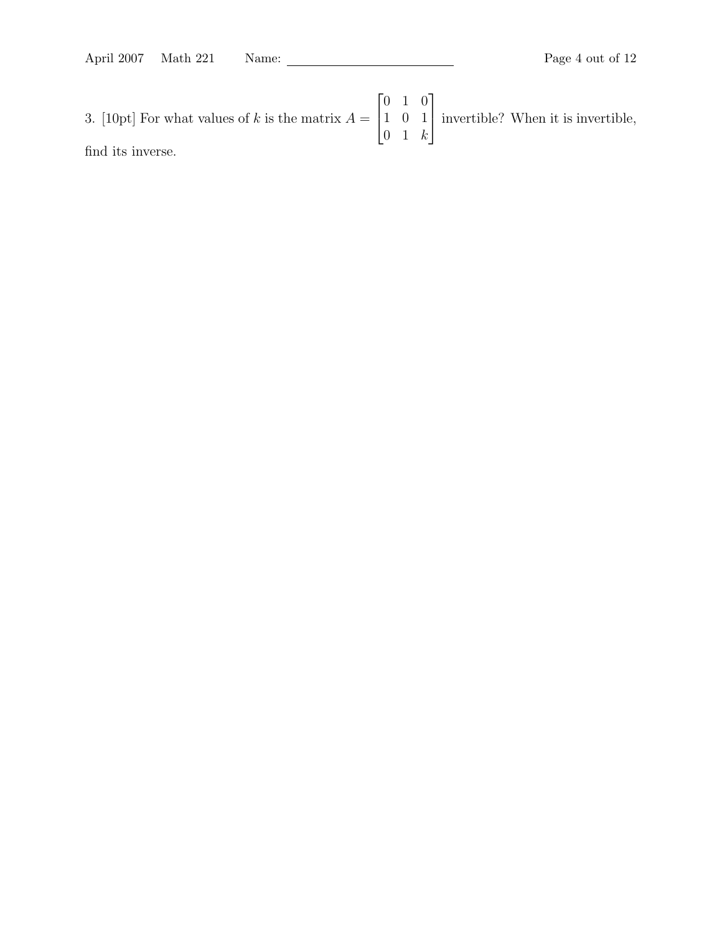April 2007 Math 221 Name: Page 4 out of 12

3. [10pt] For what values of k is the matrix  $A =$  $\sqrt{ }$  $\overline{1}$ 0 1 0 1 0 1  $0 \quad 1 \quad k$ 1 invertible? When it is invertible, find its inverse.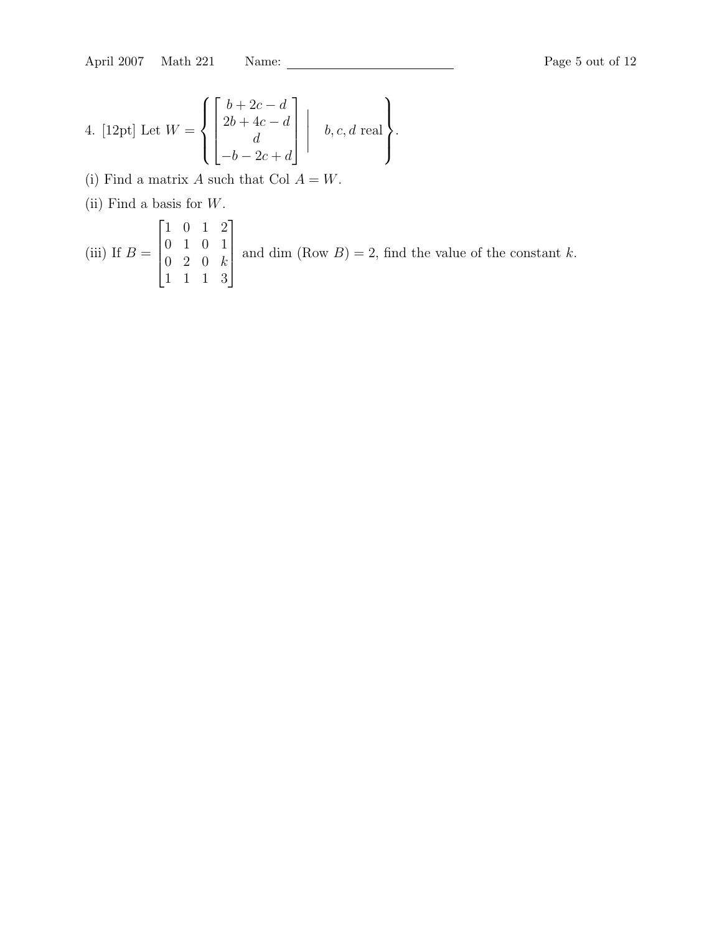April 2007 Math 221 Name: Page 5 out of 12

4. [12pt] Let 
$$
W = \left\{ \begin{bmatrix} b+2c-d \\ 2b+4c-d \\ d \\ -b-2c+d \end{bmatrix} \middle| b, c, d \text{ real} \right\}.
$$

(i) Find a matrix  $A$  such that Col  $A = W$ .

(ii) Find a basis for  $W$ .

(iii) If 
$$
B = \begin{bmatrix} 1 & 0 & 1 & 2 \\ 0 & 1 & 0 & 1 \\ 0 & 2 & 0 & k \\ 1 & 1 & 1 & 3 \end{bmatrix}
$$
 and dim (Row  $B$ ) = 2, find the value of the constant  $k$ .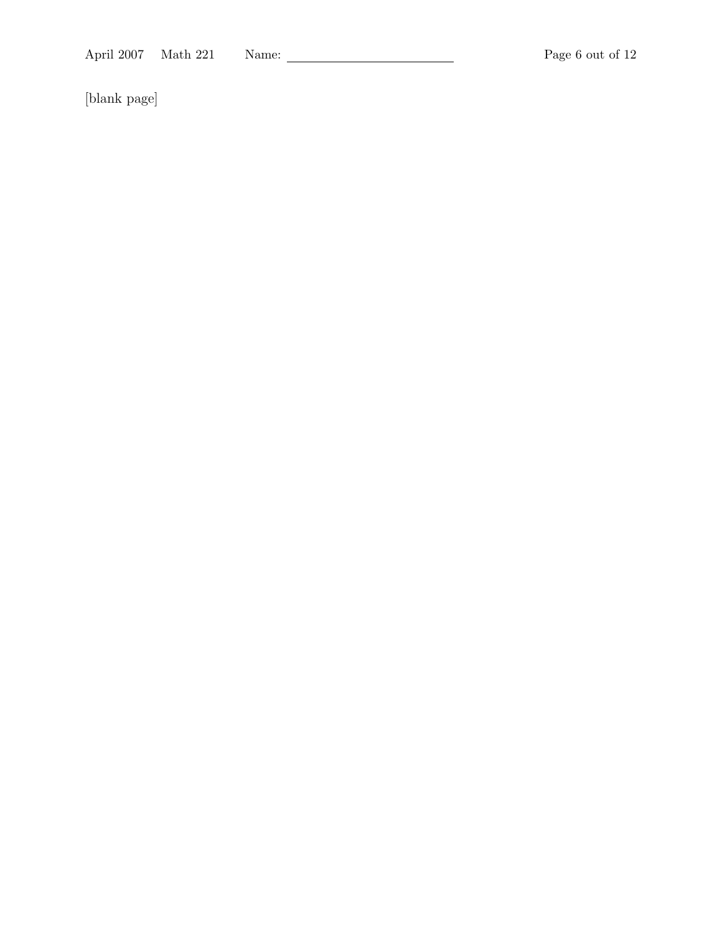[blank page]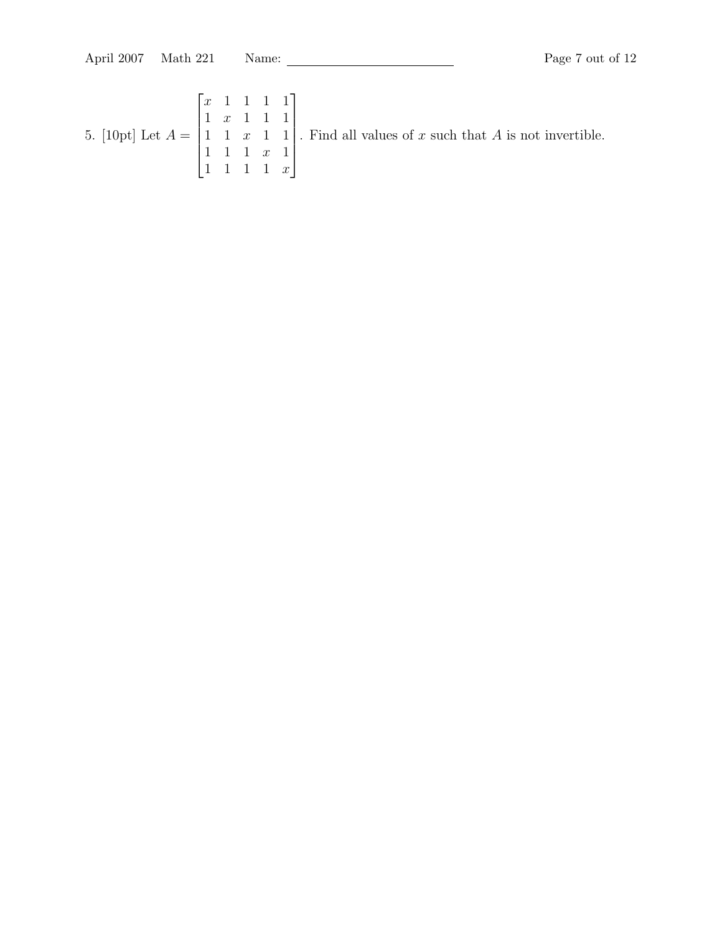April 2007 Math 221 Name: Page 7 out of 12

5. [10pt] Let 
$$
A = \begin{bmatrix} x & 1 & 1 & 1 & 1 \\ 1 & x & 1 & 1 & 1 \\ 1 & 1 & x & 1 & 1 \\ 1 & 1 & 1 & x & 1 \\ 1 & 1 & 1 & 1 & x \end{bmatrix}
$$
. Find all values of x such that A is not invertible.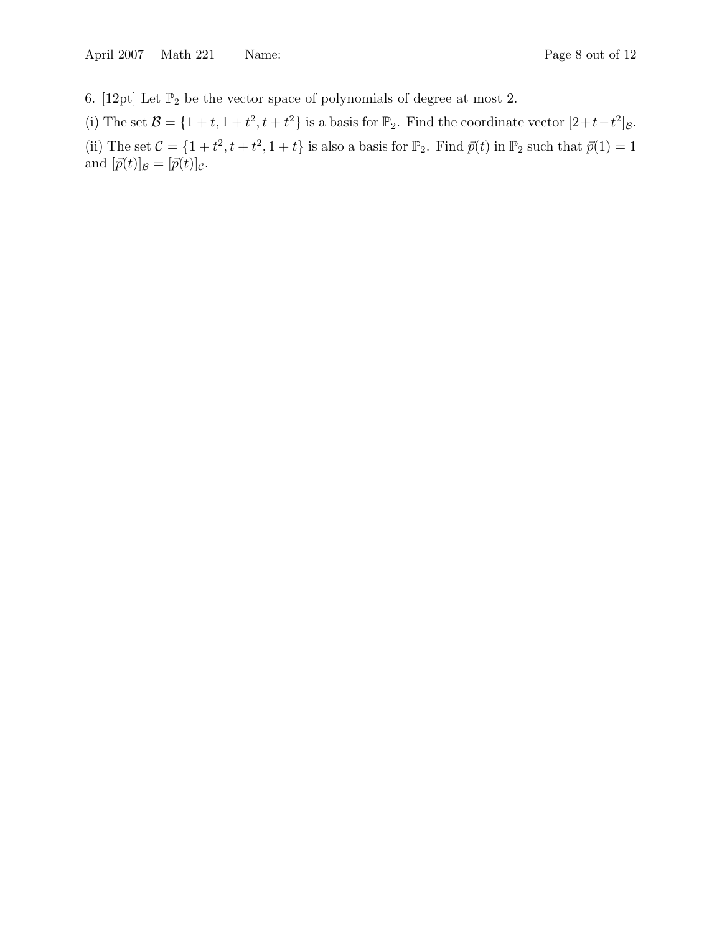6. [12pt] Let  $\mathbb{P}_2$  be the vector space of polynomials of degree at most 2.

(i) The set  $\mathcal{B} = \{1 + t, 1 + t^2, t + t^2\}$  is a basis for  $\mathbb{P}_2$ . Find the coordinate vector  $[2+t-t^2]_B$ . (ii) The set  $C = \{1+t^2, t+t^2, 1+t\}$  is also a basis for  $\mathbb{P}_2$ . Find  $\vec{p}(t)$  in  $\mathbb{P}_2$  such that  $\vec{p}(1) = 1$ and  $[\vec{p}(t)]_{\mathcal{B}} = [\vec{p}(t)]_{\mathcal{C}}$ .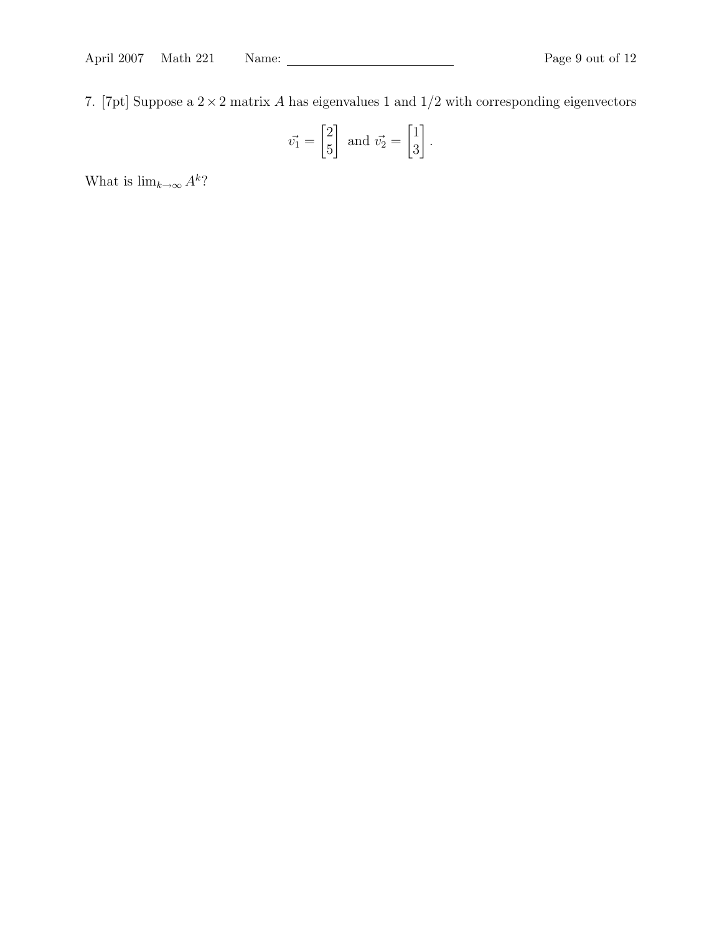7. [7pt] Suppose a  $2 \times 2$  matrix A has eigenvalues 1 and  $1/2$  with corresponding eigenvectors

$$
\vec{v_1} = \begin{bmatrix} 2 \\ 5 \end{bmatrix} \text{ and } \vec{v_2} = \begin{bmatrix} 1 \\ 3 \end{bmatrix}.
$$

What is  $\lim_{k\to\infty} A^k$ ?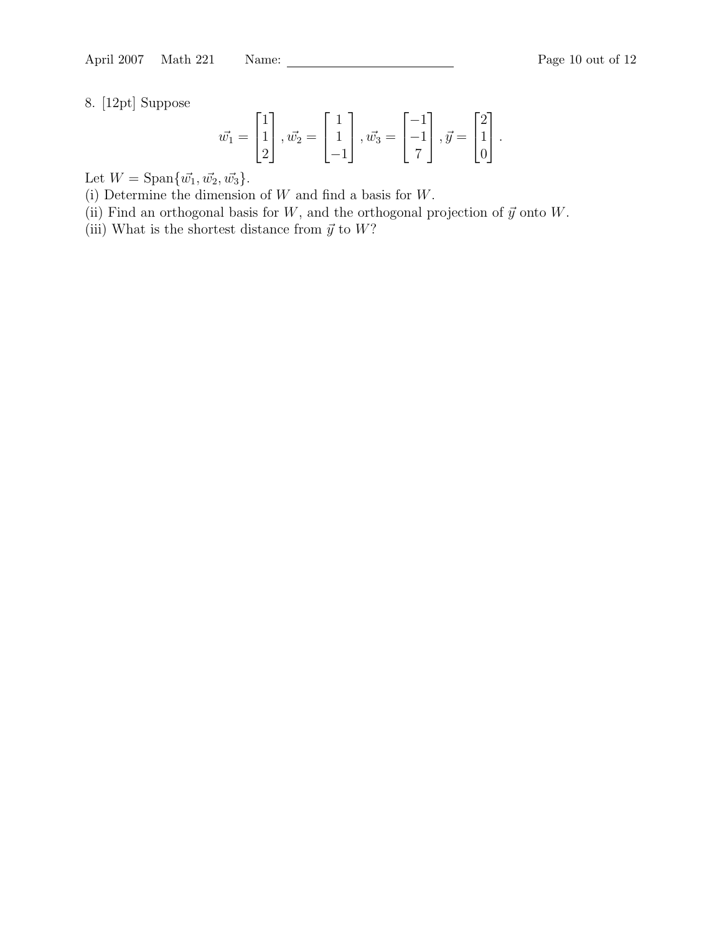April 2007 Math 221 Name: Page 10 out of 12

8. [12pt] Suppose

$$
\vec{w_1} = \begin{bmatrix} 1 \\ 1 \\ 2 \end{bmatrix}, \vec{w_2} = \begin{bmatrix} 1 \\ 1 \\ -1 \end{bmatrix}, \vec{w_3} = \begin{bmatrix} -1 \\ -1 \\ 7 \end{bmatrix}, \vec{y} = \begin{bmatrix} 2 \\ 1 \\ 0 \end{bmatrix}.
$$

Let  $W = \text{Span}\{\vec{w_1}, \vec{w_2}, \vec{w_3}\}.$ 

(i) Determine the dimension of  $\boldsymbol{W}$  and find a basis for  $\boldsymbol{W}.$ 

(ii) Find an orthogonal basis for  $W$ , and the orthogonal projection of  $\vec{y}$  onto  $W$ .

(iii) What is the shortest distance from  $\vec{y}$  to W?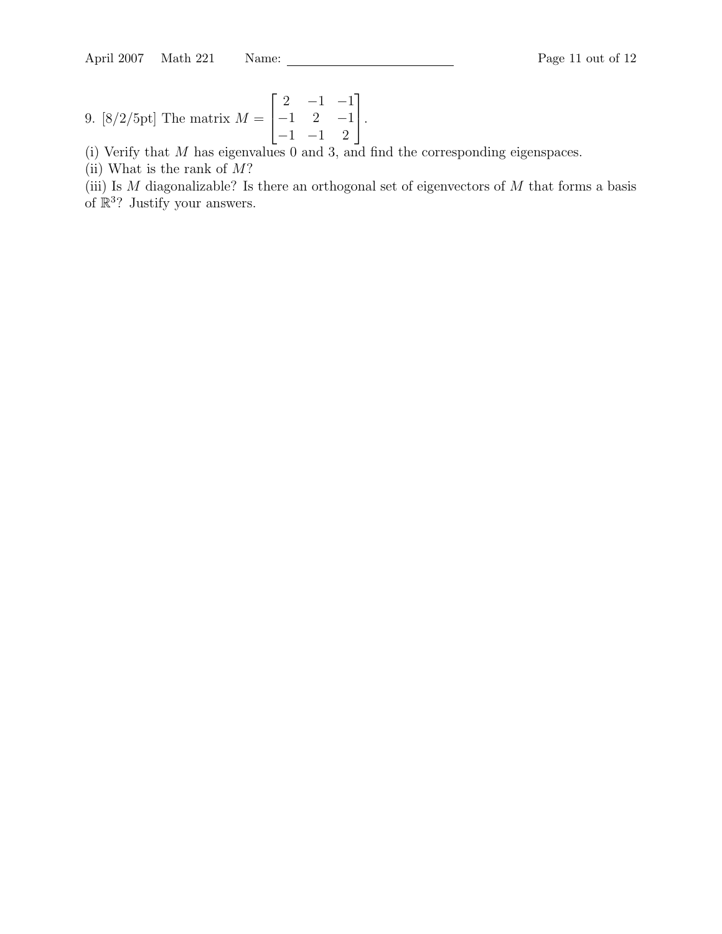April 2007 Math 221 Name: Page 11 out of 12

9. [8/2/5pt] The matrix 
$$
M = \begin{bmatrix} 2 & -1 & -1 \\ -1 & 2 & -1 \\ -1 & -1 & 2 \end{bmatrix}
$$
.

(i) Verify that M has eigenvalues 0 and 3, and find the corresponding eigenspaces.

(ii) What is the rank of  $M$ ?

(iii) Is  $M$  diagonalizable? Is there an orthogonal set of eigenvectors of  $M$  that forms a basis of  $\mathbb{R}^3$ ? Justify your answers.